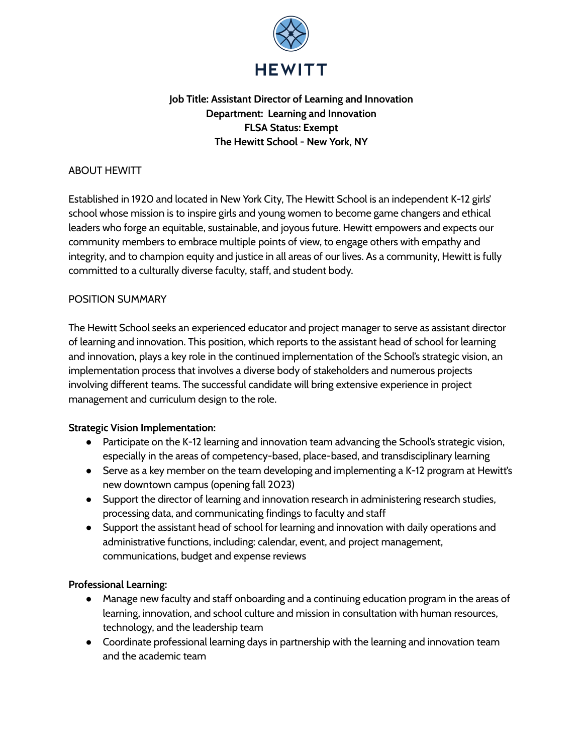

# **Job Title: Assistant Director of Learning and Innovation Department: Learning and Innovation FLSA Status: Exempt The Hewitt School - New York, NY**

## ABOUT HEWITT

Established in 1920 and located in New York City, The Hewitt School is an independent K-12 girls' school whose mission is to inspire girls and young women to become game changers and ethical leaders who forge an equitable, sustainable, and joyous future. Hewitt empowers and expects our community members to embrace multiple points of view, to engage others with empathy and integrity, and to champion equity and justice in all areas of our lives. As a community, Hewitt is fully committed to a culturally diverse faculty, staff, and student body.

## POSITION SUMMARY

The Hewitt School seeks an experienced educator and project manager to serve as assistant director of learning and innovation. This position, which reports to the assistant head of school for learning and innovation, plays a key role in the continued implementation of the School's strategic vision, an implementation process that involves a diverse body of stakeholders and numerous projects involving different teams. The successful candidate will bring extensive experience in project management and curriculum design to the role.

## **Strategic Vision Implementation:**

- Participate on the K-12 learning and innovation team advancing the School's strategic vision, especially in the areas of competency-based, place-based, and transdisciplinary learning
- Serve as a key member on the team developing and implementing a K-12 program at Hewitt's new downtown campus (opening fall 2023)
- Support the director of learning and innovation research in administering research studies, processing data, and communicating findings to faculty and staff
- Support the assistant head of school for learning and innovation with daily operations and administrative functions, including: calendar, event, and project management, communications, budget and expense reviews

## **Professional Learning:**

- Manage new faculty and staff onboarding and a continuing education program in the areas of learning, innovation, and school culture and mission in consultation with human resources, technology, and the leadership team
- Coordinate professional learning days in partnership with the learning and innovation team and the academic team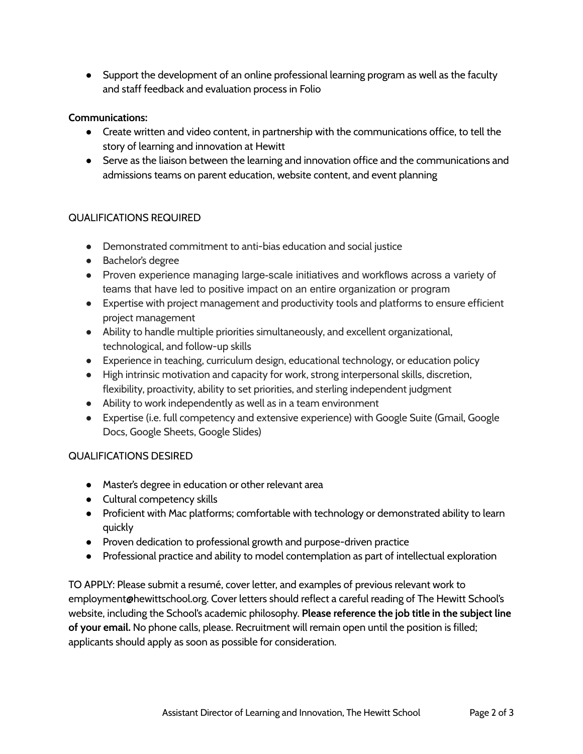● Support the development of an online professional learning program as well as the faculty and staff feedback and evaluation process in Folio

## **Communications:**

- Create written and video content, in partnership with the communications office, to tell the story of learning and innovation at Hewitt
- Serve as the liaison between the learning and innovation office and the communications and admissions teams on parent education, website content, and event planning

## QUALIFICATIONS REQUIRED

- Demonstrated commitment to anti-bias education and social justice
- Bachelor's degree
- Proven experience managing large-scale initiatives and workflows across a variety of teams that have led to positive impact on an entire organization or program
- Expertise with project management and productivity tools and platforms to ensure efficient project management
- Ability to handle multiple priorities simultaneously, and excellent organizational, technological, and follow-up skills
- Experience in teaching, curriculum design, educational technology, or education policy
- High intrinsic motivation and capacity for work, strong interpersonal skills, discretion, flexibility, proactivity, ability to set priorities, and sterling independent judgment
- Ability to work independently as well as in a team environment
- Expertise (i.e. full competency and extensive experience) with Google Suite (Gmail, Google Docs, Google Sheets, Google Slides)

#### QUALIFICATIONS DESIRED

- Master's degree in education or other relevant area
- Cultural competency skills
- Proficient with Mac platforms; comfortable with technology or demonstrated ability to learn quickly
- Proven dedication to professional growth and purpose-driven practice
- Professional practice and ability to model contemplation as part of intellectual exploration

TO APPLY: Please submit a resumé, cover letter, and examples of previous relevant work to employment@hewittschool.org. Cover letters should reflect a careful reading of The Hewitt School's website, including the School's academic philosophy. **Please reference the job title in the subject line of your email.** No phone calls, please. Recruitment will remain open until the position is filled; applicants should apply as soon as possible for consideration.